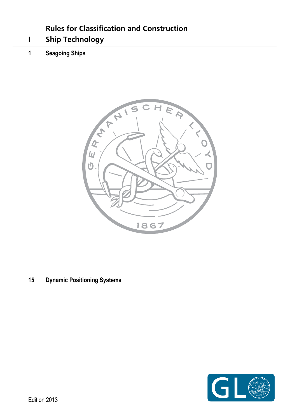# **Rules for Classification and Construction**

- <span id="page-0-0"></span>**I Ship Technology**
- **1 Seagoing Ships**



**15 Dynamic Positioning Systems** 

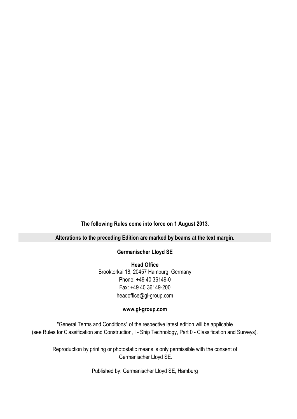**The following Rules come into force on 1 August 2013.** 

### **Alterations to the preceding Edition are marked by beams at the text margin.**

### **Germanischer Lloyd SE**

**Head Office**  Brooktorkai 18, 20457 Hamburg, Germany Phone: +49 40 36149-0 Fax: +49 40 36149-200 headoffice@gl-group.com

### **www.gl-group.com**

"General Terms and Conditions" of the respective latest edition will be applicable (see Rules for Classification and Construction, I - Ship Technology, Part 0 - Classification and Surveys).

Reproduction by printing or photostatic means is only permissible with the consent of Germanischer Lloyd SE.

Published by: Germanischer Lloyd SE, Hamburg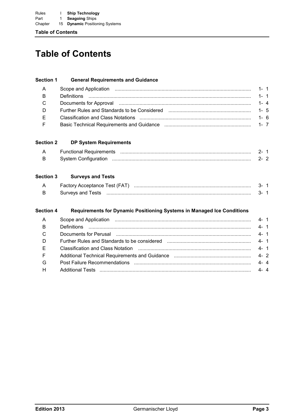**Table of Contents**

# **Table of Contents**

### **Section 1 General Requirements and Guidance**

| $B \qquad \qquad$ |                                                                                                                 |  |
|-------------------|-----------------------------------------------------------------------------------------------------------------|--|
| $C$ and $C$       | Documents for Approval measurements and the contract of the contract of the contract of the set of the set of t |  |
| D                 |                                                                                                                 |  |
| E.                |                                                                                                                 |  |
| F                 |                                                                                                                 |  |

### **Section 2 DP System Requirements**

| System Configuration |  |
|----------------------|--|

### **Section 3 Surveys and Tests**

| <b>Factory Acceptance Test (FAT)</b> |  |  |  |
|--------------------------------------|--|--|--|
| Survevs and Tests                    |  |  |  |

### **Section 4 Requirements for Dynamic Positioning Systems in Managed Ice Conditions**

|                                                                                                               | $4 - 1$ |  |
|---------------------------------------------------------------------------------------------------------------|---------|--|
| Documents for Perusal music contained and the contract of the contract of the contract of the contract of the | $4 - 1$ |  |
|                                                                                                               | $4 - 1$ |  |
|                                                                                                               | $4 - 1$ |  |
|                                                                                                               | $4 - 2$ |  |
|                                                                                                               | $4 - 4$ |  |
|                                                                                                               | $4 - 4$ |  |
|                                                                                                               |         |  |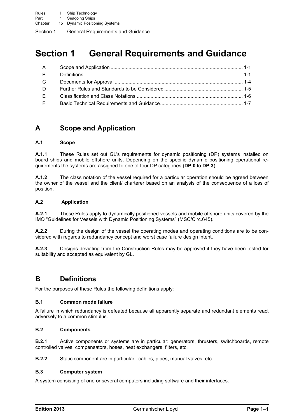# **Section 1 General Requirements and Guidance**

| A             |  |
|---------------|--|
| <b>B</b>      |  |
| $\mathcal{C}$ |  |
| D             |  |
| E.            |  |
| F             |  |

## **A Scope and Application**

### **A.1 Scope**

**A.1.1** These Rules set out GL's requirements for dynamic positioning (DP) systems installed on board ships and mobile offshore units. Depending on the specific dynamic positioning operational requirements the systems are assigned to one of four DP categories (**DP 0** to **DP 3**).

**A.1.2** The class notation of the vessel required for a particular operation should be agreed between the owner of the vessel and the client/ charterer based on an analysis of the consequence of a loss of position.

### **A.2 Application**

**A.2.1** These Rules apply to dynamically positioned vessels and mobile offshore units covered by the IMO "Guidelines for Vessels with Dynamic Positioning Systems" (MSC/Circ.645).

**A.2.2** During the design of the vessel the operating modes and operating conditions are to be considered with regards to redundancy concept and worst case failure design intent.

**A.2.3** Designs deviating from the Construction Rules may be approved if they have been tested for suitability and accepted as equivalent by GL.

## **B Definitions**

For the purposes of these Rules the following definitions apply:

### **B.1 Common mode failure**

A failure in which redundancy is defeated because all apparently separate and redundant elements react adversely to a common stimulus.

### **B.2 Components**

**B.2.1** Active components or systems are in particular: generators, thrusters, switchboards, remote controlled valves, compensators, hoses, heat exchangers, filters, etc.

**B.2.2** Static component are in particular: cables, pipes, manual valves, etc.

### **B.3 Computer system**

A system consisting of one or several computers including software and their interfaces.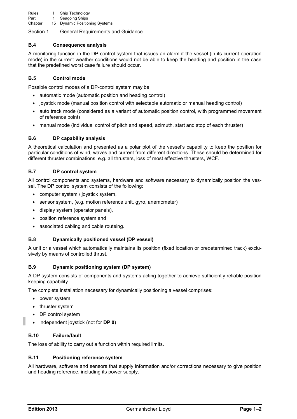#### **B.4 Consequence analysis**

A monitoring function in the DP control system that issues an alarm if the vessel (in its current operation mode) in the current weather conditions would not be able to keep the heading and position in the case that the predefined worst case failure should occur.

#### <span id="page-5-0"></span>**B.5 Control mode**

Possible control modes of a DP-control system may be:

- automatic mode (automatic position and heading control)
- joystick mode (manual position control with selectable automatic or manual heading control)
- auto track mode (considered as a variant of automatic position control, with programmed movement of reference point)
- manual mode (individual control of pitch and speed, azimuth, start and stop of each thruster)

#### **B.6 DP capability analysis**

A theoretical calculation and presented as a polar plot of the vessel's capability to keep the position for particular conditions of wind, waves and current from different directions. These should be determined for different thruster combinations, e.g. all thrusters, loss of most effective thrusters, WCF.

#### **B.7 DP control system**

All control components and systems, hardware and software necessary to dynamically position the vessel. The DP control system consists of the following:

- computer system / joystick system,
- sensor system, (e.g. motion reference unit, gyro, anemometer)
- display system (operator panels),
- position reference system and
- associated cabling and cable routeing.

#### **B.8 Dynamically positioned vessel (DP vessel)**

A unit or a vessel which automatically maintains its position (fixed location or predetermined track) exclusively by means of controlled thrust.

#### **B.9 Dynamic positioning system (DP system)**

A DP system consists of components and systems acting together to achieve sufficiently reliable position keeping capability.

The complete installation necessary for dynamically positioning a vessel comprises:

- power system
- thruster system
- DP control system
- independent joystick (not for **DP 0**)

### **B.10 Failure/fault**

The loss of ability to carry out a function within required limits.

#### **B.11 Positioning reference system**

All hardware, software and sensors that supply information and/or corrections necessary to give position and heading reference, including its power supply.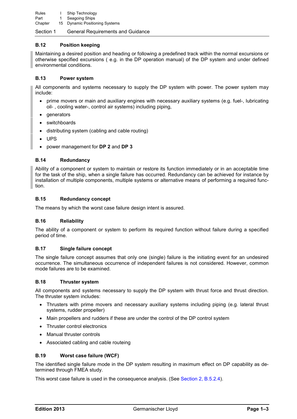Rules I Ship Technology Part 1 Seagoing Ships Chapter 15 Dynamic Positioning Systems

### Section 1 General Requirements and Guidance

### **B.12 Position keeping**

Maintaining a desired position and heading or following a predefined track within the normal excursions or otherwise specified excursions ( e.g. in the DP operation manual) of the DP system and under defined environmental conditions.

### **B.13 Power system**

All components and systems necessary to supply the DP system with power. The power system may include:

- prime movers or main and auxiliary engines with necessary auxiliary systems (e.g. fuel-, lubricating oil- , cooling water-, control air systems) including piping,
- **generators**
- switchboards
- distributing system (cabling and cable routing)
- UPS
- power management for **DP 2** and **DP 3**

### **B.14 Redundancy**

Ability of a component or system to maintain or restore its function immediately or in an acceptable time for the task of the ship, when a single failure has occurred. Redundancy can be achieved for instance by installation of multiple components, multiple systems or alternative means of performing a required function.

### **B.15 Redundancy concept**

The means by which the worst case failure design intent is assured.

### **B.16 Reliability**

The ability of a component or system to perform its required function without failure during a specified period of time.

### <span id="page-6-0"></span>**B.17 Single failure concept**

The single failure concept assumes that only one (single) failure is the initiating event for an undesired occurrence. The simultaneous occurrence of independent failures is not considered. However, common mode failures are to be examined.

### **B.18 Thruster system**

All components and systems necessary to supply the DP system with thrust force and thrust direction. The thruster system includes:

- Thrusters with prime movers and necessary auxiliary systems including piping (e.g. lateral thrust systems, rudder propeller)
- Main propellers and rudders if these are under the control of the DP control system
- Thruster control electronics
- Manual thruster controls
- Associated cabling and cable routeing

### **B.19 Worst case failure (WCF)**

The identified single failure mode in the DP system resulting in maximum effect on DP capability as determined through FMEA study.

This worst case failure is used in the consequence analysis. (See [Section 2, B.5.2.4\)](#page-16-0).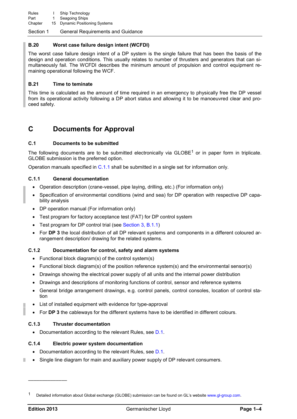### **B.20 Worst case failure design intent (WCFDI)**

The worst case failure design intent of a DP system is the single failure that has been the basis of the design and operation conditions. This usually relates to number of thrusters and generators that can simultaneously fail. The WCFDI describes the minimum amount of propulsion and control equipment remaining operational following the WCF.

### **B.21 Time to teminate**

This time is calculated as the amount of time required in an emergency to physically free the DP vessel from its operational activity following a DP abort status and allowing it to be manoeuvred clear and proceed safety.

### **C Documents for Approval**

### <span id="page-7-1"></span>**C.1 Documents to be submitted**

The following documents are to be submitted electronically via  $GLOBE<sup>1</sup>$  or in paper form in triplicate. GLOBE submission is the preferred option.

Operation manuals specified in [C.1.1](#page-7-0) shall be submitted in a single set for information only.

### <span id="page-7-0"></span>**C.1.1 General documentation**

- Operation description (crane-vessel, pipe laying, drilling, etc.) (For information only)
- Specification of environmental conditions (wind and sea) for DP operation with respective DP capability analysis
- DP operation manual (For information only)
- Test program for factory acceptance test (FAT) for DP control system
- Test program for DP control trial (see [Section 3, B.1.1\)](#page-20-0)
- For **DP 3** the local distribution of all DP relevant systems and components in a different coloured arrangement description/ drawing for the related systems.

### **C.1.2 Documentation for control, safety and alarm systems**

- Functional block diagram(s) of the control system(s)
- Functional block diagram(s) of the position reference system(s) and the environmental sensor(s)
- Drawings showing the electrical power supply of all units and the internal power distribution
- Drawings and descriptions of monitoring functions of control, sensor and reference systems
- General bridge arrangement drawings, e.g. control panels, control consoles, location of control station
- List of installed equipment with evidence for type-approval
- For **DP 3** the cableways for the different systems have to be identified in different colours.

### **C.1.3 Thruster documentation**

• Documentation according to the relevant Rules, see [D.1.](#page-8-0)

### <span id="page-7-2"></span>**C.1.4 Electric power system documentation**

- Documentation according to the relevant Rules, see [D.1.](#page-8-0)
- Single line diagram for main and auxiliary power supply of DP relevant consumers.

––––––––––––––

<sup>&</sup>lt;sup>1</sup> Detailed information about Global exchange (GLOBE) submission can be found on GL's website www.gl-group.com.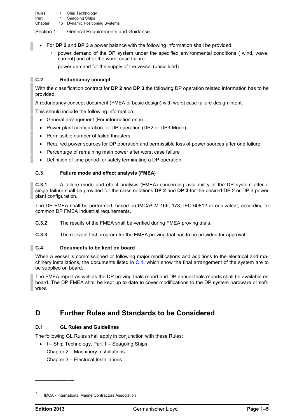- For **DP 2** and **DP 3** a power balance with the following information shall be provided:
	- power demand of the DP system under the specified environmental conditions (wind, wave, current) and after the worst case failure
	- power demand for the supply of the vessel (basic load)

### **C.2 Redundancy concept**

With the classification contract for **DP 2** and **DP 3** the following DP operation related information has to be provided:

A redundancy concept document (FMEA of basic design) with worst case failure design intent.

This should include the following information:

- General arrangement (For information only)
- Power plant configuration for DP operation (DP2 or DP3-Mode)
- Permissible number of failed thrusters
- Required power sources for DP operation and permissible loss of power sources after one failure.
- Percentage of remaining main power after worst case failure
- Definition of time period for safely terminating a DP operation.

### <span id="page-8-1"></span>**C.3 Failure mode and effect analysis (FMEA)**

**C.3.1** A failure mode and effect analysis (FMEA) concerning availability of the DP system after a single failure shall be provided for the class notations **DP 2** and **DP 3** for the desired DP 2 or DP 3 power plant configuration.

The DP FMEA shall be performed, based on IMCA<sup>2</sup> M 166, 178, IEC 60812 or equivalent, according to common DP FMEA industrial requirements.

**C.3.2** The results of the FMEA shall be verified during FMEA proving trials.

**C.3.3** The relevant test program for the FMEA proving trial has to be provided for approval.

### **C.4 Documents to be kept on board**

When a vessel is commissioned or following major modifications and additions to the electrical and machinery installations, the documents listed in [C.1.](#page-7-1) which show the final arrangement of the system are to be supplied on board.

The FMEA report as well as the DP proving trials report and DP annual trials reports shall be available on board. The DP FMEA shall be kept up to date to cover modifications to the DP system hardware or software.

## **D Further Rules and Standards to be Considered**

### <span id="page-8-0"></span>**D.1 GL Rules and Guidelines**

The following GL Rules shall apply in conjunction with these Rules:

• I – Ship Technology, Part 1 – Seagoing Ships Chapter 2 – Machinery Installations Chapter 3 – Electrical Installations

––––––––––––––

<sup>2</sup> IMCA - International Marine Contractors Association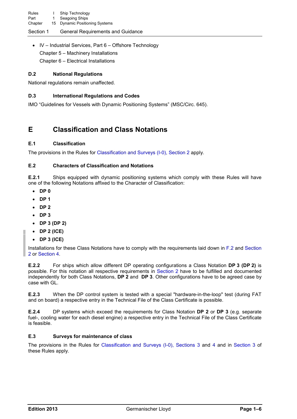• IV – Industrial Services, Part 6 – Offshore Technology Chapter 5 – Machinery Installations Chapter 6 – Electrical Installations

### **D.2 National Regulations**

National regulations remain unaffected.

### **D.3 International Regulations and Codes**

IMO "Guidelines for Vessels with Dynamic Positioning Systems" (MSC/Circ. 645).

## **E Classification and Class Notations**

### **E.1 Classification**

The provisions in the Rules for [Classification and Surveys \(I-0\), Section 2](#page-12-0) apply.

### **E.2 Characters of Classification and Notations**

**E.2.1** Ships equipped with dynamic positioning systems which comply with these Rules will have one of the following Notations affixed to the Character of Classification:

- **DP 0**
- **DP 1**
- **DP 2**
- **DP 3**
- **DP 3 (DP 2)**
- **DP 2 (ICE)**
- **DP 3 (ICE)**

Installations for these Class Notations have to comply with the requirements laid down in [F.2](#page-10-0) and [Section](#page-12-0)  [2](#page-12-0) or [Section 4.](#page-22-0)

**E.2.2** For ships which allow different DP operating configurations a Class Notation **DP 3 (DP 2)** is possible. For this notation all respective requirements in [Section 2](#page-12-0) have to be fulfilled and documented independently for both Class Notations, **DP 2** and **DP 3**. Other configurations have to be agreed case by case with GL.

**E.2.3** When the DP control system is tested with a special "hardware-in-the-loop" test (during FAT and on board) a respective entry in the Technical File of the Class Certificate is possible.

**E.2.4** DP systems which exceed the requirements for Class Notation **DP 2** or **DP 3** (e.g. separate fuel-, cooling water for each diesel engine) a respective entry in the Technical File of the Class Certificate is feasible.

### **E.3 Surveys for maintenance of class**

The provisions in the Rules for [Classification and Surveys \(I-0\), Sections 3](#page-20-1) and [4](#page-22-0) and in [Section 3](#page-20-1) of these Rules apply.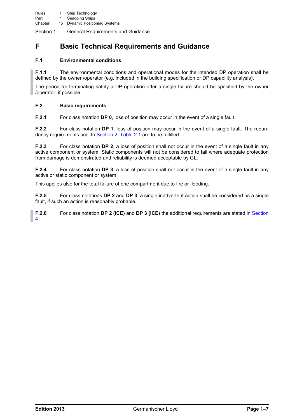# **F Basic Technical Requirements and Guidance**

### **F.1 Environmental conditions**

**F.1.1** The environmental conditions and operational modes for the intended DP operation shall be defined by the owner /operator (e.g. included in the building specification or DP capability analysis).

The period for terminating safely a DP operation after a single failure should be specified by the owner /operator, if possible.

### <span id="page-10-0"></span>**F.2 Basic requirements**

**F.2.1** For class notation **DP 0**, loss of position may occur in the event of a single fault.

**F.2.2** For class notation **DP 1**, loss of position may occur in the event of a single fault. The redundancy requirements acc. to [Section 2, Table 2.1](#page-13-0) are to be fulfilled.

**F.2.3** For class notation **DP 2**, a loss of position shall not occur in the event of a single fault in any active component or system. Static components will not be considered to fail where adequate protection from damage is demonstrated and reliability is deemed acceptable by GL.

**F.2.4** For class notation **DP 3**, a loss of position shall not occur in the event of a single fault in any active or static component or system.

This applies also for the total failure of one compartment due to fire or flooding.

**F.2.5** For class notations **DP 2** and **DP 3**, a single inadvertent action shall be considered as a single fault, if such an action is reasonably probable.

**F.2.6** For class notation **DP 2 (ICE)** and **DP 3 (ICE)** the additional requirements are stated in [Section](#page-22-0)  [4.](#page-22-0)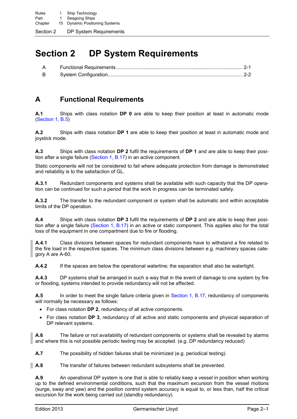# <span id="page-12-0"></span>**Section 2 DP System Requirements**

| $\mathsf{A}$ |  |
|--------------|--|
| $\mathsf{B}$ |  |

# **A Functional Requirements**

**A.1** Ships with class notation **DP 0** are able to keep their position at least in automatic mode [\(Section 1, B.5\)](#page-5-0)

**A.2** Ships with class notation **DP 1** are able to keep their position at least in automatic mode and joystick mode.

**A.3** Ships with class notation **DP 2** fulfil the requirements of **DP 1** and are able to keep their position after a single failure [\(Section 1, B.17\)](#page-6-0) in an active component.

Static components will not be considered to fail where adequate protection from damage is demonstrated and reliability is to the satisfaction of GL.

**A.3.1** Redundant components and systems shall be available with such capacity that the DP operation can be continued for such a period that the work in progress can be terminated safely.

**A.3.2** The transfer to the redundant component or system shall be automatic and within acceptable limits of the DP operation.

**A.4** Ships with class notation **DP 3** fulfil the requirements of **DP 2** and are able to keep their posi-tion after a single failure [\(Section 1, B.17\)](#page-6-0) in an active or static component. This applies also for the total loss of the equipment in one compartment due to fire or flooding.

**A.4.1** Class divisions between spaces for redundant components have to withstand a fire related to the fire load in the respective spaces. The minimum class divisions between e.g. machinery spaces category A are A-60.

**A.4.2** If the spaces are below the operational waterline; the separation shall also be watertight.

**A.4.3** DP systems shall be arranged in such a way that in the event of damage to one system by fire or flooding, systems intended to provide redundancy will not be affected.

**A.5** In order to meet the single failure criteria given in [Section 1, B.17,](#page-6-0) redundancy of components will normally be necessary as follows:

- For class notation **DP 2**, redundancy of all active components.
- For class notation **DP 3**, redundancy of all active and static components and physical separation of DP relevant systems.

**A.6** The failure or not availability of redundant components or systems shall be revealed by alarms and where this is not possible periodic testing may be accepted. (e.g. DP redundancy reduced)

**A.7** The possibility of hidden failures shall be minimized (e.g. periodical testing).

**A.8** The transfer of failures between redundant subsystems shall be prevented.

**A.9** An operational DP system is one that is able to reliably keep a vessel in position when working up to the defined environmental conditions, such that the maximum excursion from the vessel motions (surge, sway and yaw) and the position control system accuracy is equal to, or less than, half the critical excursion for the work being carried out (standby redundancy).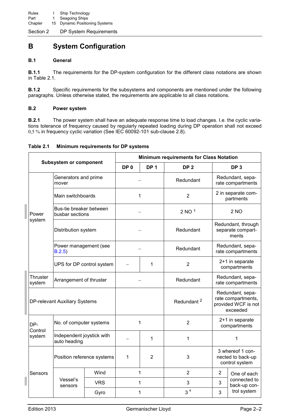# **B System Configuration**

### **B.1 General**

**B.1.1** The requirements for the DP-system configuration for the different class notations are shown in Table 2.1.

**B.1.2** Specific requirements for the subsystems and components are mentioned under the following paragraphs. Unless otherwise stated, the requirements are applicable to all class notations.

### **B.2 Power system**

**B.2.1** The power system shall have an adequate response time to load changes. I.e. the cyclic variations tolerance of frequency caused by regularly repeated loading during DP operation shall not exceed 0,5 % in frequency cyclic variation (See IEC 60092-101 sub-clause 2.8).

| Table 2.1 | Minimum requirements for DP systems |  |
|-----------|-------------------------------------|--|
|           |                                     |  |

<span id="page-13-0"></span>

| <b>Subsystem or component</b> |                                            |            | <b>Minimum requirements for Class Notation</b> |                 |                        |                                                                           |                                                         |  |
|-------------------------------|--------------------------------------------|------------|------------------------------------------------|-----------------|------------------------|---------------------------------------------------------------------------|---------------------------------------------------------|--|
|                               |                                            |            | DP <sub>0</sub>                                | DP <sub>1</sub> | DP <sub>2</sub>        |                                                                           | DP <sub>3</sub>                                         |  |
|                               | Generators and prime<br>mover              |            |                                                |                 | Redundant              | Redundant, sepa-<br>rate compartments                                     |                                                         |  |
|                               | Main switchboards                          |            | 1                                              |                 | $\overline{2}$         |                                                                           | 2 in separate com-<br>partments                         |  |
| Power                         | Bus-tie breaker between<br>busbar sections |            |                                                |                 | $2$ NO $1$             |                                                                           | 2 <sub>NO</sub>                                         |  |
| system                        | Distribution system                        |            |                                                |                 | Redundant              |                                                                           | Redundant, through<br>separate compart-<br>ments        |  |
|                               | Power management (see<br>B.2.5)            |            |                                                |                 | Redundant              |                                                                           | Redundant, sepa-<br>rate compartments                   |  |
| UPS for DP control system     |                                            |            |                                                | 1               | $\overline{2}$         | 2+1 in separate<br>compartments                                           |                                                         |  |
| Thruster<br>system            | Arrangement of thruster                    |            |                                                |                 | Redundant              | Redundant, sepa-<br>rate compartments                                     |                                                         |  |
|                               | DP-relevant Auxiliary Systems              |            |                                                |                 | Redundant <sup>2</sup> | Redundant, sepa-<br>rate compartments,<br>provided WCF is not<br>exceeded |                                                         |  |
| DP-<br>Control                | No. of computer systems                    |            |                                                | 1               | $\overline{2}$         |                                                                           | 2+1 in separate<br>compartments                         |  |
| system                        | Independent joystick with<br>auto heading  |            |                                                | 1               | 1                      |                                                                           | 1                                                       |  |
|                               | Position reference systems                 |            | 1<br>2                                         |                 | 3                      |                                                                           | 3 whereof 1 con-<br>nected to back-up<br>control system |  |
| Sensors                       |                                            | Wind       |                                                | 1               | $\overline{2}$         | $\overline{2}$                                                            | One of each                                             |  |
|                               | Vessel's<br>sensors                        | <b>VRS</b> | 1                                              |                 | 3                      | 3                                                                         | connected to<br>back-up con-                            |  |
|                               |                                            | Gyro       |                                                | 1               | 3 <sup>4</sup>         | 3                                                                         | trol system                                             |  |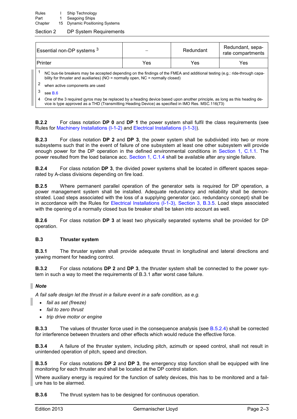| Essential non-DP systems 3                                                                                                                                                                                                          |     | Redundant | Redundant, sepa-<br>rate compartments |  |  |
|-------------------------------------------------------------------------------------------------------------------------------------------------------------------------------------------------------------------------------------|-----|-----------|---------------------------------------|--|--|
| Printer                                                                                                                                                                                                                             | Yes | Yes       | Yes                                   |  |  |
| NC bus-tie breakers may be accepted depending on the findings of the FMEA and additional testing (e.g.: ride-through capa-<br>bility for thruster and auxiliaries) ( $NO =$ normally open, $NC =$ normally closed)                  |     |           |                                       |  |  |
| 2<br>when active components are used                                                                                                                                                                                                |     |           |                                       |  |  |
| 3<br>see $B.6$                                                                                                                                                                                                                      |     |           |                                       |  |  |
| One of the 3 required gyros may be replaced by a heading device based upon another principle, as long as this heading de-<br>4<br>vice is type approved as a THD (Transmitting Heading Device) as specified in IMO Res. MSC.116(73) |     |           |                                       |  |  |

**B.2.2** For class notation **DP 0** and **DP 1** the power system shall fulfil the class requirements (see Rules for [Machinery Installations \(I-1-2\)](#page-0-0) and [Electrical Installations \(I-1-3\)\)](#page-0-0).

**B.2.3** For class notation **DP 2** and **DP 3**, the power system shall be subdivided into two or more subsystems such that in the event of failure of one subsystem at least one other subsystem will provide enough power for the DP operation in the defined environmental conditions in [Section 1, C.1.1.](#page-7-0) The power resulted from the load balance acc. [Section 1, C.1.4](#page-7-2) shall be available after any single failure.

**B.2.4** For class notation **DP 3**, the divided power systems shall be located in different spaces separated by A-class divisions depending on fire load.

<span id="page-14-0"></span>**B.2.5** Where permanent parallel operation of the generator sets is required for DP operation, a power management system shall be installed. Adequate redundancy and reliability shall be demonstrated. Load steps associated with the loss of a supplying generator (acc. redundancy concept) shall be in accordance with the Rules for Electrical Installations (I-1-3), Section 3, B.3.5. Load steps associated with the opening of a normally closed bus tie breaker shall be taken into account as well.

**B.2.6** For class notation **DP 3** at least two physically separated systems shall be provided for DP operation.

### **B.3 Thruster system**

**B.3.1** The thruster system shall provide adequate thrust in longitudinal and lateral directions and yawing moment for heading control.

**B.3.2** For class notations **DP 2** and **DP 3**, the thruster system shall be connected to the power system in such a way to meet the requirements of B.3.1 after worst case failure.

### *Note*

п

*A fail safe design let the thrust in a failure event in a safe condition, as e.g.* 

- *fail as set (freeze)*
- *fail to zero thrust*
- *trip drive motor or engine*

**B.3.3** The values of thruster force used in the consequence analysis (see [B.5.2.4\)](#page-16-0) shall be corrected for interference between thrusters and other effects which would reduce the effective force.

<span id="page-14-1"></span>**B.3.4** A failure of the thruster system, including pitch, azimuth or speed control, shall not result in unintended operation of pitch, speed and direction.

**B.3.5** For class notations **DP 2** and **DP 3**, the emergency stop function shall be equipped with line monitoring for each thruster and shall be located at the DP control station.

Where auxiliary energy is required for the function of safety devices, this has to be monitored and a failure has to be alarmed.

**B.3.6** The thrust system has to be designed for continuous operation.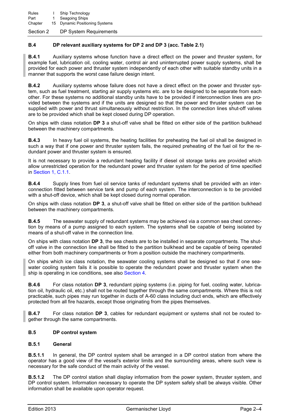### **B.4 DP relevant auxiliary systems for DP 2 and DP 3 (acc. Table 2.1)**

**B.4.1** Auxiliary systems whose function have a direct effect on the power and thruster system, for example fuel, lubrication oil, cooling water, control air and uninterrupted power supply systems, shall be provided for each power and thruster system independently of each other with suitable standby units in a manner that supports the worst case failure design intent.

**B.4.2** Auxiliary systems whose failure does not have a direct effect on the power and thruster system, such as fuel treatment, starting air supply systems etc. are to be designed to be separate from each other. For these systems no additional standby units have to be provided if interconnection lines are provided between the systems and if the units are designed so that the power and thruster system can be supplied with power and thrust simultaneously without restriction. In the connection lines shut-off valves are to be provided which shall be kept closed during DP operation.

On ships with class notation **DP 3** a shut-off valve shall be fitted on either side of the partition bulkhead between the machinery compartments.

**B.4.3** In heavy fuel oil systems, the heating facilities for preheating the fuel oil shall be designed in such a way that if one power and thruster system fails, the required preheating of the fuel oil for the redundant power and thruster system is ensured.

It is not necessary to provide a redundant heating facility if diesel oil storage tanks are provided which allow unrestricted operation for the redundant power and thruster system for the period of time specified in [Section 1, C.1.1.](#page-7-0)

**B.4.4** Supply lines from fuel oil service tanks of redundant systems shall be provided with an interconnection fitted between service tank and pump of each system. The interconnection is to be provided with a shut-off device, which shall be kept closed during normal operation.

On ships with class notation **DP 3**, a shut-off valve shall be fitted on either side of the partition bulkhead between the machinery compartments.

**B.4.5** The seawater supply of redundant systems may be achieved via a common sea chest connection by means of a pump assigned to each system. The systems shall be capable of being isolated by means of a shut-off valve in the connection line.

On ships with class notation **DP 3**, the sea chests are to be installed in separate compartments. The shutoff valve in the connection line shall be fitted to the partition bulkhead and be capable of being operated either from both machinery compartments or from a position outside the machinery compartments.

On ships which ice class notation, the seawater cooling systems shall be designed so that if one seawater cooling system fails it is possible to operate the redundant power and thruster system when the ship is operating in ice conditions, see also [Section 4.](#page-22-0)

**B.4.6** For class notation **DP 3**, redundant piping systems (i.e. piping for fuel, cooling water, lubrication oil, hydraulic oil, etc.) shall not be routed together through the same compartments. Where this is not practicable, such pipes may run together in ducts of A-60 class including duct ends, which are effectively protected from all fire hazards, except those originating from the pipes themselves.

**B.4.7** For class notation **DP 3**, cables for redundant equipment or systems shall not be routed together through the same compartments.

### **B.5 DP control system**

### **B.5.1 General**

**B.5.1.1** In general, the DP control system shall be arranged in a DP control station from where the operator has a good view of the vessel's exterior limits and the surrounding areas, where such view is necessary for the safe conduct of the main activity of the vessel.

**B.5.1.2** The DP control station shall display information from the power system, thruster system, and DP control system. Information necessary to operate the DP system safely shall be always visible. Other information shall be available upon operator request.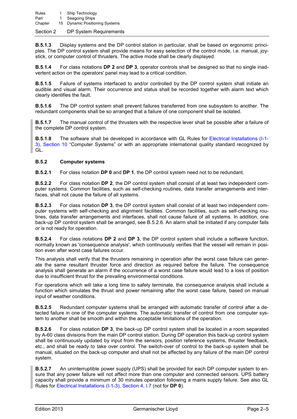**B.5.1.3** Display systems and the DP control station in particular, shall be based on ergonomic principles. The DP control system shall provide means for easy selection of the control mode, i.e. manual, joystick, or computer control of thrusters. The active mode shall be clearly displayed.

**B.5.1.4** For class notations **DP 2** and **DP 3**, operator controls shall be designed so that no single inadvertent action on the operators' panel may lead to a critical condition.

**B.5.1.5** Failure of systems interfaced to and/or controlled by the DP control system shall initiate an audible and visual alarm. Their occurrence and status shall be recorded together with alarm text which clearly identifies the fault.

**B.5.1.6** The DP control system shall prevent failures transferred from one subsystem to another. The redundant components shall be so arranged that a failure of one component shall be isolated.

**B.5.1.7** The manual control of the thrusters with the respective lever shall be possible after a failure of the complete DP control system.

**B.5.1.8** The software shall be developed in accordance with GL Rules for Electrical Installations (I-1-3), Section 10 "Computer Systems" or with an appropriate international quality standard recognized by GL.

#### **B.5.2 Computer systems**

**B.5.2.1** For class notation **DP 0** and **DP 1**, the DP control system need not to be redundant.

**B.5.2.2** For class notation **DP 2**, the DP control system shall consist of at least two independent computer systems. Common facilities, such as self-checking routines, data transfer arrangements and interfaces, shall not cause the failure of all systems.

**B.5.2.3** For class notation **DP 3**, the DP control system shall consist of at least two independent computer systems with self-checking and alignment facilities. Common facilities, such as self-checking routines, data transfer arrangements and interfaces, shall not cause failure of all systems. In addition, one back-up DP control system shall be arranged, see B.5.2.6. An alarm shall be initiated if any computer fails or is not ready for operation.

<span id="page-16-0"></span>**B.5.2.4** For class notations **DP 2** and **DP 3**, the DP control system shall include a software function, normally known as 'consequence analysis', which continuously verifies that the vessel will remain in position even after worst case failures occur.

This analysis shall verify that the thrusters remaining in operation after the worst case failure can generate the same resultant thruster force and direction as required before the failure. The consequence analysis shall generate an alarm if the occurrence of a worst case failure would lead to a loss of position due to insufficient thrust for the prevailing environmental conditions.

For operations which will take a long time to safely terminate, the consequence analysis shall include a function which simulates the thrust and power remaining after the worst case failure, based on manual input of weather conditions.

**B.5.2.5** Redundant computer systems shall be arranged with automatic transfer of control after a detected failure in one of the computer systems. The automatic transfer of control from one computer system to another shall be smooth and within the acceptable limitations of the operation.

**B.5.2.6** For class notation **DP 3**, the back-up DP control system shall be located in a room separated by A-60 class divisions from the main DP control station. During DP operation this back-up control system shall be continuously updated by input from the sensors, position reference systems, thruster feedback, etc., and shall be ready to take over control. The switch-over of control to the back-up system shall be manual, situated on the back-up computer and shall not be affected by any failure of the main DP control system.

<span id="page-16-1"></span>**B.5.2.7** An uninterruptible power supply (UPS) shall be provided for each DP computer system to ensure that any power failure will not affect more than one computer and connected sensors. UPS battery capacity shall provide a minimum of 30 minutes operation following a mains supply failure. See also GL Rules for Electrical Installations (I-1-3), Section 4, I.7 (not for **DP 0**).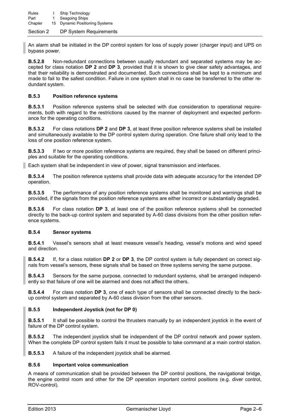An alarm shall be initiated in the DP control system for loss of supply power (charger input) and UPS on bypass power.

**B.5.2.8** Non-redundant connections between usually redundant and separated systems may be accepted for class notation **DP 2** and **DP 3**, provided that it is shown to give clear safety advantages, and that their reliability is demonstrated and documented. Such connections shall be kept to a minimum and made to fail to the safest condition. Failure in one system shall in no case be transferred to the other redundant system.

### <span id="page-17-1"></span>**B.5.3 Position reference systems**

**B.5.3.1** Position reference systems shall be selected with due consideration to operational requirements, both with regard to the restrictions caused by the manner of deployment and expected performance for the operating conditions.

**B.5.3.2** For class notations **DP 2** and **DP 3**, at least three position reference systems shall be installed and simultaneously available to the DP control system during operation. One failure shall only lead to the loss of one position reference system.

**B.5.3.3** If two or more position reference systems are required, they shall be based on different principles and suitable for the operating conditions.

Each system shall be independent in view of power, signal transmission and interfaces.

**B.5.3.4** The position reference systems shall provide data with adequate accuracy for the intended DP operation.

**B.5.3.5** The performance of any position reference systems shall be monitored and warnings shall be provided, if the signals from the position reference systems are either incorrect or substantially degraded.

**B.5.3.6** For class notation **DP 3**, at least one of the position reference systems shall be connected directly to the back-up control system and separated by A-60 class divisions from the other position reference systems.

### **B.5.4 Sensor systems**

**B.5.4.1** Vessel's sensors shall at least measure vessel's heading, vessel's motions and wind speed and direction.

**B.5.4.2** If, for a class notation **DP 2** or **DP 3**, the DP control system is fully dependent on correct signals from vessel's sensors, these signals shall be based on three systems serving the same purpose.

**B.5.4.3** Sensors for the same purpose, connected to redundant systems, shall be arranged independently so that failure of one will be alarmed and does not affect the others.

**B.5.4.4** For class notation **DP 3**, one of each type of sensors shall be connected directly to the backup control system and separated by A-60 class division from the other sensors.

### **B.5.5 Independent Joystick (not for DP 0)**

**B.5.5.1** It shall be possible to control the thrusters manually by an independent joystick in the event of failure of the DP control system.

**B.5.5.2** The independent joystick shall be independent of the DP control network and power system. When the complete DP control system fails it must be possible to take command at a main control station.

**B.5.5.3** A failure of the independent joystick shall be alarmed.

### <span id="page-17-0"></span>**B.5.6 Important voice communication**

A means of communication shall be provided between the DP control positions, the navigational bridge, the engine control room and other for the DP operation important control positions (e.g. diver control, ROV-control).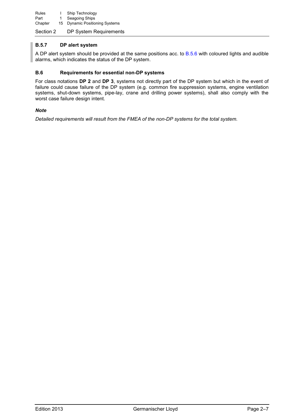Rules I Ship Technology Part 1 Seagoing Ships Chapter 15 Dynamic Positioning Systems

Section 2 DP System Requirements

### **B.5.7 DP alert system**

A DP alert system should be provided at the same positions acc. to [B.5.6](#page-17-0) with coloured lights and audible alarms, which indicates the status of the DP system.

### <span id="page-18-0"></span>**B.6 Requirements for essential non-DP systems**

For class notations **DP 2** and **DP 3**, systems not directly part of the DP system but which in the event of failure could cause failure of the DP system (e.g. common fire suppression systems, engine ventilation systems, shut-down systems, pipe-lay, crane and drilling power systems), shall also comply with the worst case failure design intent.

### *Note*

*Detailed requirements will result from the FMEA of the non-DP systems for the total system.*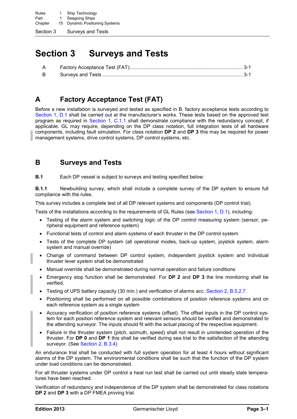Section 3 Surveys and Tests

# <span id="page-20-1"></span>**Section 3 Surveys and Tests**

| B — |  |
|-----|--|

# **A Factory Acceptance Test (FAT)**

Before a new installation is surveyed and tested as specified in B. factory acceptance tests according to [Section 1, D.1](#page-8-0) shall be carried out at the manufacturer's works. These tests based on the approved test program as required in [Section 1, C.1.1](#page-7-0) shall demonstrate compliance with the redundancy concept, if applicable. GL may require, depending on the DP class notation, full integration tests of all hardware components, including fault simulation. For class notation **DP 2** and **DP 3** this may be required for power management systems, drive control systems, DP control systems, etc.

### **B Surveys and Tests**

**B.1** Each DP vessel is subject to surveys and testing specified below:

<span id="page-20-0"></span>**B.1.1** Newbuilding survey, which shall include a complete survey of the DP system to ensure full compliance with the rules.

This survey includes a complete test of all DP relevant systems and components (DP control trial).

Tests of the installations according to the requirements of GL Rules (see [Section 1, D.1\)](#page-8-0), including:

- Testing of the alarm system and switching logic of the DP control measuring system (sensor, peripheral equipment and reference system)
- Functional tests of control and alarm systems of each thruster in the DP control system
- Tests of the complete DP system (all operational modes, back-up system, joystick system, alarm system and manual override)
- Change of command between DP control system, independent joystick system and individual thruster lever system shall be demonstrated
- Manual override shall be demonstrated during normal operation and failure conditions
- Emergency stop function shall be demonstrated. For **DP 2** and **DP 3** the line monitoring shall be verified.
- Testing of UPS battery capacity (30 min.) and verification of alarms acc. [Section 2, B.5.2.7.](#page-16-1)
- Positioning shall be performed on all possible combinations of position reference systems and on each reference system as a single system
- Accuracy verification of position reference systems (offset). The offset inputs in the DP control system for each position reference system and relevant sensors should be verified and demonstrated to the attending surveyor. The inputs should fit with the actual placing of the respective equipment.
- Failure in the thruster system (pitch, azimuth, speed) shall not result in unintended operation of the thruster. For **DP 0** and **DP 1** this shall be verified during sea trial to the satisfaction of the attending surveyor. (See [Section 2, B.3.4\)](#page-14-1)

An endurance trial shall be conducted with full system operation for at least 4 hours without significant alarms of the DP system. The environmental conditions shall be such that the function of the DP system under load conditions can be demonstrated.

For all thruster systems under DP control a heat run test shall be carried out until steady state temperatures have been reached.

Verification of redundancy and independence of the DP system shall be demonstrated for class notations **DP 2** and **DP 3** with a DP FMEA proving trial.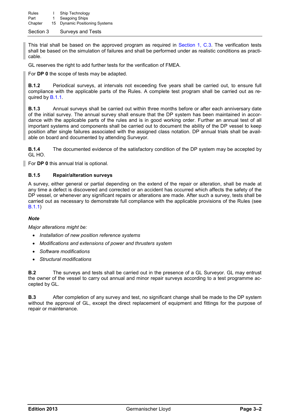Section 3 Surveys and Tests

This trial shall be based on the approved program as required in [Section 1, C.3.](#page-8-1) The verification tests shall be based on the simulation of failures and shall be performed under as realistic conditions as practicable.

GL reserves the right to add further tests for the verification of FMEA.

For **DP 0** the scope of tests may be adapted.

**B.1.2** Periodical surveys, at intervals not exceeding five years shall be carried out, to ensure full compliance with the applicable parts of the Rules. A complete test program shall be carried out as required by [B.1.1.](#page-20-0)

**B.1.3** Annual surveys shall be carried out within three months before or after each anniversary date of the initial survey. The annual survey shall ensure that the DP system has been maintained in accordance with the applicable parts of the rules and is in good working order. Further an annual test of all important systems and components shall be carried out to document the ability of the DP vessel to keep position after single failures associated with the assigned class notation. DP annual trials shall be available on board and documented by attending Surveyor.

**B.1.4** The documented evidence of the satisfactory condition of the DP system may be accepted by GL HO.

For **DP 0** this annual trial is optional.

#### **B.1.5 Repair/alteration surveys**

A survey, either general or partial depending on the extend of the repair or alteration, shall be made at any time a defect is discovered and corrected or an accident has occurred which affects the safety of the DP vessel, or whenever any significant repairs or alterations are made. After such a survey, tests shall be carried out as necessary to demonstrate full compliance with the applicable provisions of the Rules (see [B.1.1\)](#page-20-0)

#### *Note*

*Major alterations might be:* 

- *Installation of new position reference systems*
- *Modifications and extensions of power and thrusters system*
- *Software modifications*
- *Structural modifications*

**B.2** The surveys and tests shall be carried out in the presence of a GL Surveyor. GL may entrust the owner of the vessel to carry out annual and minor repair surveys according to a test programme accepted by GL.

**B.3** After completion of any survey and test, no significant change shall be made to the DP system without the approval of GL, except the direct replacement of equipment and fittings for the purpose of repair or maintenance.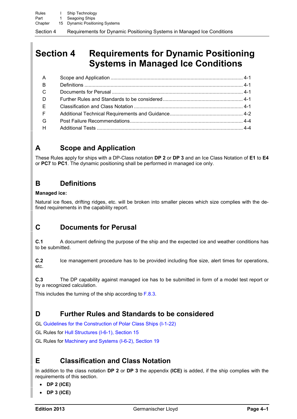# <span id="page-22-0"></span>**Section 4 Requirements for Dynamic Positioning Systems in Managed Ice Conditions**

| $\mathsf{A}$ |  |
|--------------|--|
| B            |  |
| $\mathsf{C}$ |  |
| D.           |  |
| E.           |  |
| F            |  |
| G            |  |
| H            |  |

# **A Scope and Application**

These Rules apply for ships with a DP-Class notation **DP 2** or **DP 3** and an Ice Class Notation of **E1** to **E4** or **PC7** to **PC1**. The dynamic positioning shall be performed in managed ice only.

# **B Definitions**

### **Managed ice:**

Natural ice floes, drifting ridges, etc. will be broken into smaller pieces which size complies with the defined requirements in the capability report.

# **C Documents for Perusal**

**C.1** A document defining the purpose of the ship and the expected ice and weather conditions has to be submitted.

**C.2** Ice management procedure has to be provided including floe size, alert times for operations, etc.

**C.3** The DP capability against managed ice has to be submitted in form of a model test report or by a recognized calculation.

This includes the turning of the ship according to [F.8.3.](#page-25-0)

# **D Further Rules and Standards to be considered**

GL [Guidelines for the Construction of Polar Class Ships \(I-1-22\)](#page-0-0)

GL Rules for Hull Structures (I-6-1), Section 15

GL Rules for Machinery and Systems (I-6-2), Section 19

# **E Classification and Class Notation**

In addition to the class notation **DP 2** or **DP 3** the appendix **(ICE)** is added, if the ship complies with the requirements of this section.

- **DP 2 (ICE)**
- **DP 3 (ICE)**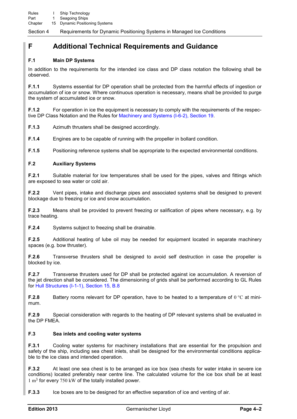## **F Additional Technical Requirements and Guidance**

### **F.1 Main DP Systems**

In addition to the requirements for the intended ice class and DP class notation the following shall be observed.

**F.1.1** Systems essential for DP operation shall be protected from the harmful effects of ingestion or accumulation of ice or snow. Where continuous operation is necessary, means shall be provided to purge the system of accumulated ice or snow.

**F.1.2** For operation in ice the equipment is necessary to comply with the requirements of the respective DP Class Notation and the Rules for Machinery and Systems (I-6-2), Section 19.

**F.1.3** Azimuth thrusters shall be designed accordingly.

**F.1.4** Engines are to be capable of running with the propeller in bollard condition.

**F.1.5** Positioning reference systems shall be appropriate to the expected environmental conditions.

### **F.2 Auxiliary Systems**

**F.2.1** Suitable material for low temperatures shall be used for the pipes, valves and fittings which are exposed to sea water or cold air.

**F.2.2** Vent pipes, intake and discharge pipes and associated systems shall be designed to prevent blockage due to freezing or ice and snow accumulation.

**F.2.3** Means shall be provided to prevent freezing or salification of pipes where necessary, e.g. by trace heating.

**F.2.4** Systems subject to freezing shall be drainable.

**F.2.5** Additional heating of lube oil may be needed for equipment located in separate machinery spaces (e.g. bow thruster).

**F.2.6** Transverse thrusters shall be designed to avoid self destruction in case the propeller is blocked by ice.

**F.2.7** Transverse thrusters used for DP shall be protected against ice accumulation. A reversion of the jet direction shall be considered. The dimensioning of grids shall be performed according to GL Rules for Hull Structures (I-1-1), Section 15, B.8

**F.2.8** Battery rooms relevant for DP operation, have to be heated to a temperature of 0 °C at minimum.

**F.2.9** Special consideration with regards to the heating of DP relevant systems shall be evaluated in the DP FMEA.

### **F.3 Sea inlets and cooling water systems**

**F.3.1** Cooling water systems for machinery installations that are essential for the propulsion and safety of the ship, including sea chest inlets, shall be designed for the environmental conditions applicable to the ice class and intended operation.

**F.3.2** At least one sea chest is to be arranged as ice box (sea chests for water intake in severe ice conditions) located preferably near centre line. The calculated volume for the ice box shall be at least  $1 \text{ m}^3$  for every 750 kW of the totally installed power.

**F.3.3** Ice boxes are to be designed for an effective separation of ice and venting of air.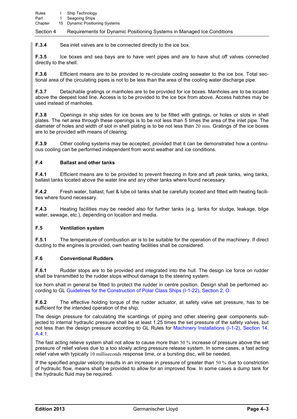**F.3.4** Sea inlet valves are to be connected directly to the ice box.

**F.3.5** Ice boxes and sea bays are to have vent pipes and are to have shut off valves connected directly to the shell.

**F.3.6** Efficient means are to be provided to re-circulate cooling seawater to the ice box. Total sectional area of the circulating pipes is not to be less than the area of the cooling water discharge pipe.

**F.3.7** Detachable gratings or manholes are to be provided for ice boxes. Manholes are to be located above the deepest load line. Access is to be provided to the ice box from above. Access hatches may be used instead of manholes.

**F.3.8** Openings in ship sides for ice boxes are to be fitted with gratings, or holes or slots in shell plates. The net area through these openings is to be not less than 5 times the area of the inlet pipe. The diameter of holes and width of slot in shell plating is to be not less than 20 mm. Gratings of the ice boxes are to be provided with means of clearing.

**F.3.9** Other cooling systems may be accepted, provided that it can be demonstrated how a continuous cooling can be performed independent from worst weather and ice conditions.

### **F.4 Ballast and other tanks**

**F.4.1** Efficient means are to be provided to prevent freezing in fore and aft peak tanks, wing tanks, ballast tanks located above the water line and any other tanks where found necessary.

**F.4.2** Fresh water, ballast, fuel & lube oil tanks shall be carefully located and fitted with heating facilities where found necessary.

**F.4.3** Heating facilities may be needed also for further tanks (e.g. tanks for sludge, leakage, bilge water, sewage, etc.), depending on location and media.

### **F.5 Ventilation system**

**F.5.1** The temperature of combustion air is to be suitable for the operation of the machinery. If direct ducting to the engines is provided, own heating facilities shall be considered.

### **F.6 Conventional Rudders**

**F.6.1** • Rudder stops are to be provided and integrated into the hull. The design ice force on rudder shall be transmitted to the rudder stops without damage to the steering system.

Ice horn shall in general be fitted to protect the rudder in centre position. Design shall be performed according to GL Guidelines for the Construction of Polar Class Ships (I-1-22), Section 2, O.

**F.6.2** The effective holding torque of the rudder actuator, at safety valve set pressure, has to be sufficient for the intended operation of the ship.

The design pressure for calculating the scantlings of piping and other steering gear components subjected to internal hydraulic pressure shall be at least 1.25 times the set pressure of the safety valves, but not less than the design pressure according to GL Rules for Machinery Installations (I-1-2), Section 14, A.4.1.

The fast acting relieve system shall not allow to cause more than 50 % increase of pressure above the set pressure of relief valves due to a too slowly acting pressure release system. In some cases, a fast acting relief valve with typically 10 milliseconds response time, or a bursting disc, will be needed.

If the specified angular velocity results in an increase in pressure of greater than 50 % due to constriction of hydraulic flow, means shall be provided to allow for an improved flow. In some cases a dump tank for the hydraulic fluid may be required.